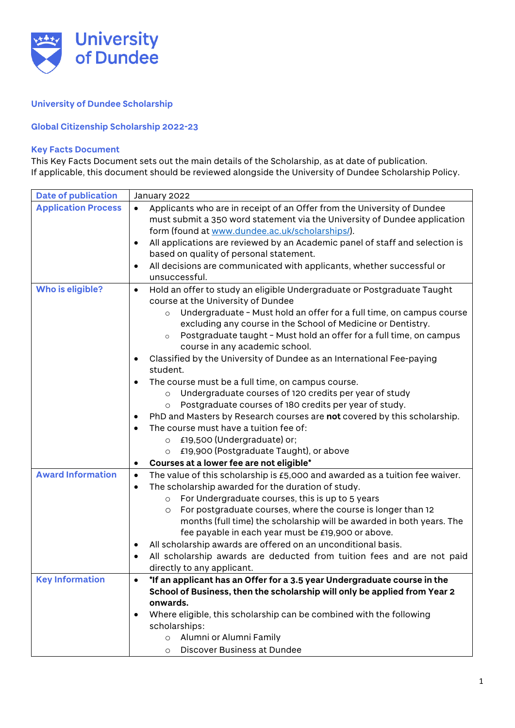

## **University of Dundee Scholarship**

## **Global Citizenship Scholarship 2022-23**

## **Key Facts Document**

This Key Facts Document sets out the main details of the Scholarship, as at date of publication. If applicable, this document should be reviewed alongside the University of Dundee Scholarship Policy.

| <b>Application Process</b><br>Applicants who are in receipt of an Offer from the University of Dundee<br>$\bullet$ | January 2022                                                                 |
|--------------------------------------------------------------------------------------------------------------------|------------------------------------------------------------------------------|
|                                                                                                                    |                                                                              |
|                                                                                                                    | must submit a 350 word statement via the University of Dundee application    |
| form (found at www.dundee.ac.uk/scholarships/).                                                                    |                                                                              |
|                                                                                                                    | All applications are reviewed by an Academic panel of staff and selection is |
| based on quality of personal statement.                                                                            |                                                                              |
| All decisions are communicated with applicants, whether successful or<br>$\bullet$                                 |                                                                              |
| unsuccessful.                                                                                                      |                                                                              |
| Who is eligible?<br>Hold an offer to study an eligible Undergraduate or Postgraduate Taught<br>$\bullet$           |                                                                              |
| course at the University of Dundee                                                                                 |                                                                              |
| $\circ$                                                                                                            | Undergraduate - Must hold an offer for a full time, on campus course         |
| excluding any course in the School of Medicine or Dentistry.                                                       |                                                                              |
| $\circ$                                                                                                            | Postgraduate taught - Must hold an offer for a full time, on campus          |
| course in any academic school.                                                                                     |                                                                              |
| Classified by the University of Dundee as an International Fee-paying                                              |                                                                              |
| student.                                                                                                           |                                                                              |
| The course must be a full time, on campus course.                                                                  |                                                                              |
| Undergraduate courses of 120 credits per year of study<br>$\circ$                                                  |                                                                              |
| Postgraduate courses of 180 credits per year of study.<br>$\circ$                                                  |                                                                              |
|                                                                                                                    | PhD and Masters by Research courses are not covered by this scholarship.     |
| The course must have a tuition fee of:                                                                             |                                                                              |
| £19,500 (Undergraduate) or;<br>$\circ$                                                                             |                                                                              |
| £19,900 (Postgraduate Taught), or above<br>$\circ$                                                                 |                                                                              |
| Courses at a lower fee are not eligible*                                                                           |                                                                              |
| <b>Award Information</b><br>$\bullet$                                                                              | The value of this scholarship is £5,000 and awarded as a tuition fee waiver. |
| The scholarship awarded for the duration of study.                                                                 |                                                                              |
| For Undergraduate courses, this is up to 5 years<br>$\circ$                                                        |                                                                              |
| For postgraduate courses, where the course is longer than 12<br>$\circ$                                            |                                                                              |
|                                                                                                                    | months (full time) the scholarship will be awarded in both years. The        |
| fee payable in each year must be £19,900 or above.                                                                 |                                                                              |
| All scholarship awards are offered on an unconditional basis.                                                      |                                                                              |
|                                                                                                                    | All scholarship awards are deducted from tuition fees and are not paid       |
| directly to any applicant.                                                                                         |                                                                              |
| *If an applicant has an Offer for a 3.5 year Undergraduate course in the<br><b>Key Information</b>                 |                                                                              |
| School of Business, then the scholarship will only be applied from Year 2                                          |                                                                              |
| onwards.                                                                                                           |                                                                              |
| Where eligible, this scholarship can be combined with the following                                                |                                                                              |
| scholarships:                                                                                                      |                                                                              |
| Alumni or Alumni Family<br>$\circ$                                                                                 |                                                                              |
| Discover Business at Dundee<br>$\circ$                                                                             |                                                                              |